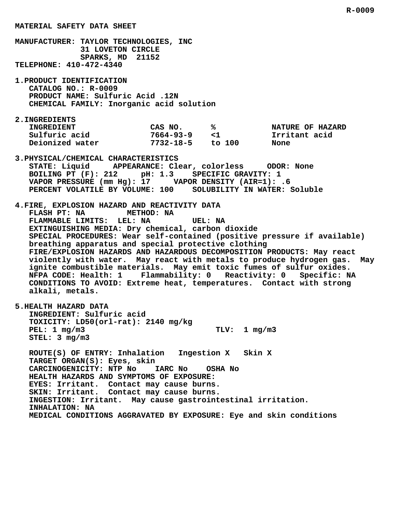**MATERIAL SAFETY DATA SHEET MANUFACTURER: TAYLOR TECHNOLOGIES, INC 31 LOVETON CIRCLE SPARKS, MD 21152 TELEPHONE: 410-472-4340 1.PRODUCT IDENTIFICATION CATALOG NO.: R-0009 PRODUCT NAME: Sulfuric Acid .12N CHEMICAL FAMILY: Inorganic acid solution 2.INGREDIENTS** INGREDIENT CAS NO. 8 8 NATURE OF HAZARD  **Sulfuric acid 7664-93-9 <1 Irritant acid Deionized water 7732-18-5 to 100 None 3.PHYSICAL/CHEMICAL CHARACTERISTICS STATE: Liquid APPEARANCE: Clear, colorless ODOR: None BOILING PT (F): 212 pH: 1.3 SPECIFIC GRAVITY: 1 VAPOR PRESSURE (mm Hg): 17 VAPOR DENSITY (AIR=1): .6 PERCENT VOLATILE BY VOLUME: 100 SOLUBILITY IN WATER: Soluble 4.FIRE, EXPLOSION HAZARD AND REACTIVITY DATA FLASH PT: NA METHOD: NA FLAMMABLE LIMITS: LEL: NA UEL: NA EXTINGUISHING MEDIA: Dry chemical, carbon dioxide SPECIAL PROCEDURES: Wear self-contained (positive pressure if available) breathing apparatus and special protective clothing FIRE/EXPLOSION HAZARDS AND HAZARDOUS DECOMPOSITION PRODUCTS: May react violently with water. May react with metals to produce hydrogen gas. May ignite combustible materials. May emit toxic fumes of sulfur oxides. NFPA CODE: Health: 1 Flammability: 0 Reactivity: 0 Specific: NA CONDITIONS TO AVOID: Extreme heat, temperatures. Contact with strong alkali, metals. 5.HEALTH HAZARD DATA INGREDIENT: Sulfuric acid TOXICITY: LD50(orl-rat): 2140 mg/kg PEL: 1 mg/m3 TLV: 1 mg/m3 STEL: 3 mg/m3 ROUTE(S) OF ENTRY: Inhalation Ingestion X Skin X**

 **R-0009**

 **TARGET ORGAN(S): Eyes, skin CARCINOGENICITY: NTP No IARC No OSHA No HEALTH HAZARDS AND SYMPTOMS OF EXPOSURE: EYES: Irritant. Contact may cause burns. SKIN: Irritant. Contact may cause burns. INGESTION: Irritant. May cause gastrointestinal irritation. INHALATION: NA MEDICAL CONDITIONS AGGRAVATED BY EXPOSURE: Eye and skin conditions**